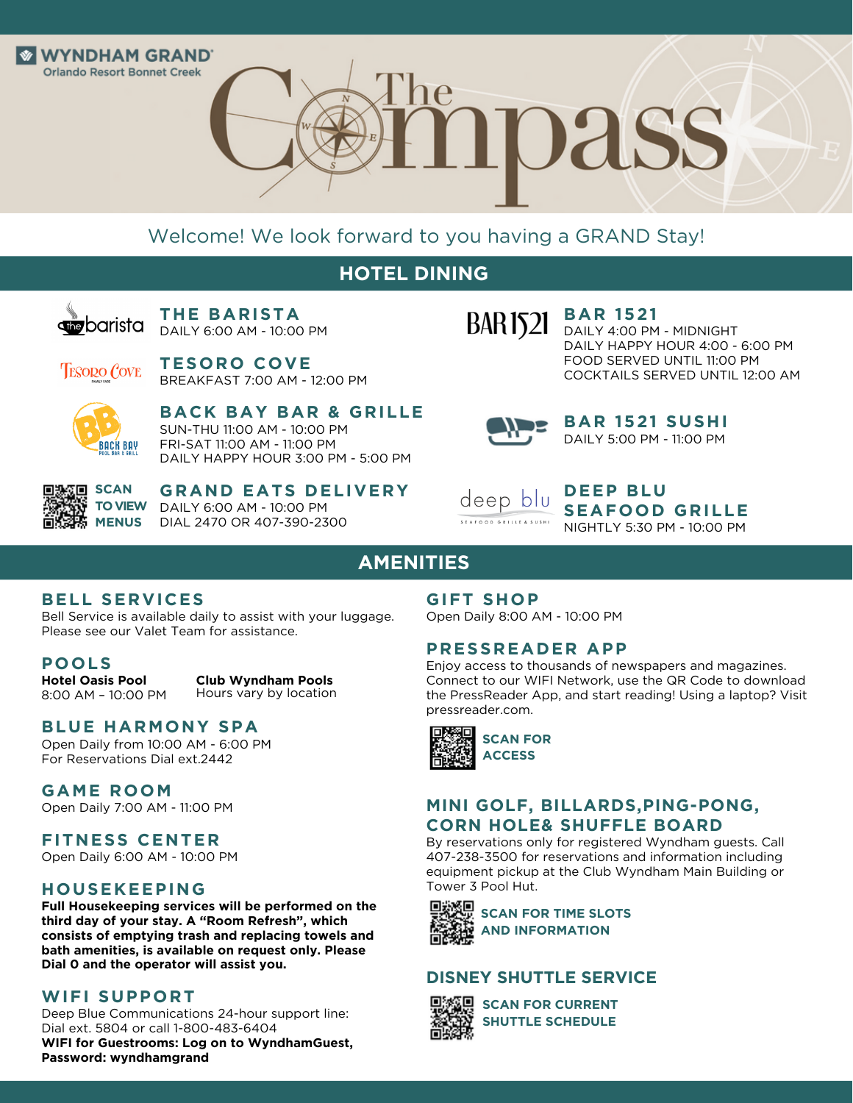

DASS

# Welcome! We look forward to you having a GRAND Stay!

# **HOTEL DINING**



**THE BARISTA** DAILY 6:00 AM - 10:00 PM

**TESORO COVE TESORO COVE** BREAKFAST 7:00 AM - 12:00 PM



**BACK BAY BAR & GRILLE** SUN-THU 11:00 AM - 10:00 PM FRI-SAT 11:00 AM - 11:00 PM DAILY HAPPY HOUR 3:00 PM - 5:00 PM



**GRAND EATS DELIVERY** DAILY 6:00 AM - 10:00 PM DIAL 2470 OR 407-390-2300



**BAR 1521** DAILY 4:00 PM - MIDNIGHT DAILY HAPPY HOUR 4:00 - 6:00 PM FOOD SERVED UNTIL 11:00 PM

COCKTAILS SERVED UNTIL 12:00 AM



**BAR 1521 SUSHI** DAILY 5:00 PM - 11:00 PM



**DEEP BLU SEAFOOD GRILLE** NIGHTLY 5:30 PM - 10:00 PM

# **AMENITIES**

### **BELL SERVICES**

Bell Service is available daily to assist with your luggage. Please see our Valet Team for assistance.

#### **POOLS**

**Hotel Oasis Pool** 8:00 AM – 10:00 PM

**Club Wyndham Pools** Hours vary by location

### **BLUE HARMONY SPA**

Open Daily from 10:00 AM - 6:00 PM For Reservations Dial ext.2442

# **GAME ROOM**

Open Daily 7:00 AM - 11:00 PM

#### **FITNESS CENTER**

Open Daily 6:00 AM - 10:00 PM

#### **HOUSEKEEPING**

**Full Housekeeping services will be performed on the third day of your stay. A "Room Refresh", which consists of emptying trash and replacing towels and bath amenities, is available on request only. Please Dial 0 and the operator will assist you.**

### **WIFI SUPPORT**

Deep Blue Communications 24-hour support line: Dial ext. 5804 or call 1-800-483-6404 **WIFI for Guestrooms: Log on to WyndhamGuest, Password: wyndhamgrand**

#### **GIFT SHOP**

Open Daily 8:00 AM - 10:00 PM

#### **PRESSREADER APP**

Enjoy access to thousands of newspapers and magazines. Connect to our WIFI Network, use the QR Code to download the PressReader App, and start reading! Using a laptop? Visit pressreader.com.



### **MINI GOLF, BILLARDS,PING-PONG, CORN HOLE& SHUFFLE BOARD**

By reservations only for registered Wyndham guests. Call 407-238-3500 for reservations and information including equipment pickup at the Club Wyndham Main Building or Tower 3 Pool Hut.



**SCAN FOR TIME SLOTS AND INFORMATION**

#### **DISNEY SHUTTLE SERVICE**



**SCAN FOR CURRENT SHUTTLE SCHEDULE**